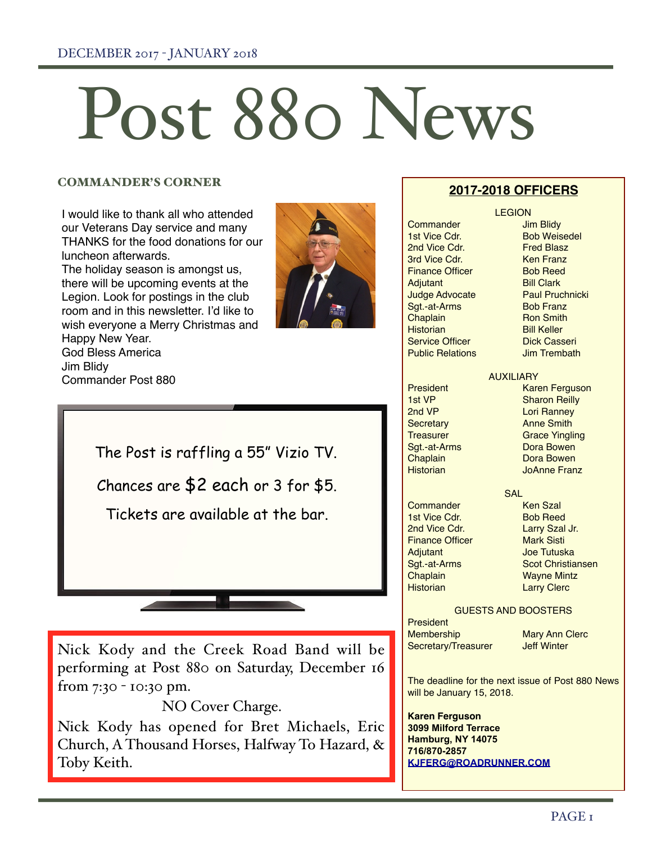# Post 880 News

# COMMANDER'S CORNER

I would like to thank all who attended our Veterans Day service and many THANKS for the food donations for our luncheon afterwards.

The holiday season is amongst us, there will be upcoming events at the Legion. Look for postings in the club room and in this newsletter. I'd like to wish everyone a Merry Christmas and Happy New Year. God Bless America

Jim Blidy

Commander Post 880



The Post is raffling a 55" Vizio TV. Chances are \$2 each or 3 for \$5. Tickets are available at the bar.

Nick Kody and the Creek Road Band will be performing at Post 880 on Saturday, December 16 from 7:30 - 10:30 pm.

NO Cover Charge.

Nick Kody has opened for Bret Michaels, Eric Church, A Thousand Horses, Halfway To Hazard, & Toby Keith.

# **2017-2018 OFFICERS LEGION**

Commander Jim Blidy 1st Vice Cdr. Bob Weisedel 2nd Vice Cdr.<br>2nd Vice Cdr. **Fred Blasz**<br>3rd Vice Cdr. **Franz 3rd Vice Cdr.** Ken Franz<br>
Finance Officer
Shob Reed **Finance Officer** Adjutant Bill Clark Sgt.-at-Arms Bob Franz **Chaplain** Ron Smith<br> **Ron Smith**<br>
Historian Bill Keller **Service Officer Public Relations** Jim Trembath

Judge Advocate **Paul Pruchnicki** Bill Keller<br>Dick Casseri

#### AUXILIARY

President Karen Ferguson<br>
1st VP March Sharon Reilly 1st VP Sharon Reilly Lori Ranney Secretary **Anne Smith** Treasurer Grace Yingling Sgt.-at-Arms Dora Bowen **Chaplain** Dora Bowen<br> **Chaplain** Do Box Do Bowen JoAnne Franz

**SAL** 

Commander Ken Szal 1st Vice Cdr. Bob Reed 2nd Vice Cdr.<br>
Finance Officer Mark Sisti Adjutant Joe Tutuska Sgt.-at-Arms Scot Christiansen Chaplain Wayne Mintz Historian Larry Clerc

# GUESTS AND BOOSTERS

**President** Membership Mary Ann Clerc Secretary/Treasurer Jeff Winter

**Finance Officer** 

The deadline for the next issue of Post 880 News will be January 15, 2018.

**Karen Ferguson 3099 Milford Terrace Hamburg, NY 14075 716/870-2857 [KJFERG@ROADRUNNER.COM](mailto:KJFERG@ROADRUNNER.COM)**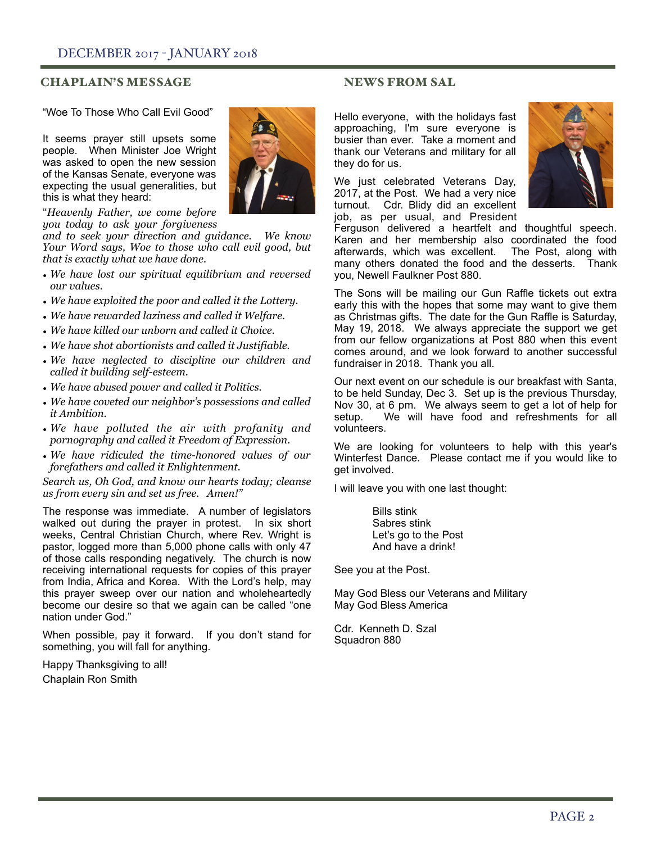# **CHAPLAIN'S MESSAGE NEWS FROM SAL**

"Woe To Those Who Call Evil Good"

It seems prayer still upsets some people. When Minister Joe Wright was asked to open the new session of the Kansas Senate, everyone was expecting the usual generalities, but this is what they heard:



*and to seek your direction and guidance. We know Your Word says, Woe to those who call evil good, but that is exactly what we have done.* 

- *• We have lost our spiritual equilibrium and reversed our values.*
- *• We have exploited the poor and called it the Lottery.*
- *• We have rewarded laziness and called it Welfare.*
- *• We have killed our unborn and called it Choice.*
- *• We have shot abortionists and called it Justifiable.*
- *• We have neglected to discipline our children and called it building self-esteem.*
- *• We have abused power and called it Politics.*
- *• We have coveted our neighbor's possessions and called it Ambition.*
- *• We have polluted the air with profanity and pornography and called it Freedom of Expression.*
- *• We have ridiculed the time-honored values of our forefathers and called it Enlightenment.*

*Search us, Oh God, and know our hearts today; cleanse us from every sin and set us free. Amen!"*

The response was immediate. A number of legislators walked out during the prayer in protest. In six short weeks, Central Christian Church, where Rev. Wright is pastor, logged more than 5,000 phone calls with only 47 of those calls responding negatively. The church is now receiving international requests for copies of this prayer from India, Africa and Korea. With the Lord's help, may this prayer sweep over our nation and wholeheartedly become our desire so that we again can be called "one nation under God."

When possible, pay it forward. If you don't stand for something, you will fall for anything.

Happy Thanksgiving to all! Chaplain Ron Smith



Hello everyone, with the holidays fast approaching, I'm sure everyone is busier than ever. Take a moment and thank our Veterans and military for all they do for us.

We just celebrated Veterans Day, 2017, at the Post. We had a very nice turnout. Cdr. Blidy did an excellent job, as per usual, and President



Ferguson delivered a heartfelt and thoughtful speech. Karen and her membership also coordinated the food afterwards, which was excellent. The Post, along with many others donated the food and the desserts. Thank you, Newell Faulkner Post 880.

The Sons will be mailing our Gun Raffle tickets out extra early this with the hopes that some may want to give them as Christmas gifts. The date for the Gun Raffle is Saturday, May 19, 2018. We always appreciate the support we get from our fellow organizations at Post 880 when this event comes around, and we look forward to another successful fundraiser in 2018. Thank you all.

Our next event on our schedule is our breakfast with Santa, to be held Sunday, Dec 3. Set up is the previous Thursday, Nov 30, at 6 pm. We always seem to get a lot of help for setup. We will have food and refreshments for all volunteers.

We are looking for volunteers to help with this vear's Winterfest Dance. Please contact me if you would like to get involved.

I will leave you with one last thought:

 Bills stink Sabres stink Let's go to the Post And have a drink!

See you at the Post.

May God Bless our Veterans and Military May God Bless America

Cdr. Kenneth D. Szal Squadron 880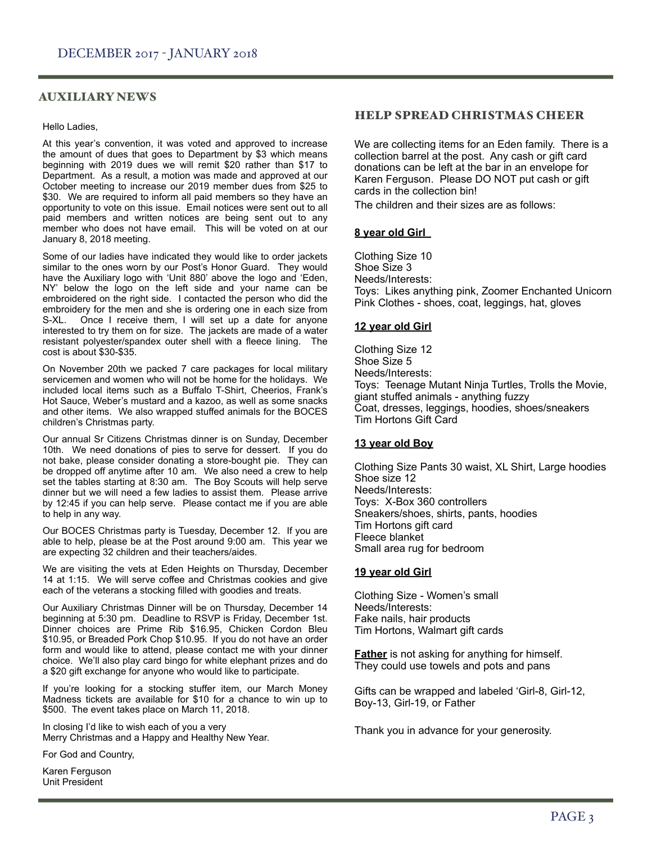## AUXILIARY NEWS

#### Hello Ladies,

At this year's convention, it was voted and approved to increase the amount of dues that goes to Department by \$3 which means beginning with 2019 dues we will remit \$20 rather than \$17 to Department. As a result, a motion was made and approved at our October meeting to increase our 2019 member dues from \$25 to \$30. We are required to inform all paid members so they have an opportunity to vote on this issue. Email notices were sent out to all paid members and written notices are being sent out to any member who does not have email. This will be voted on at our January 8, 2018 meeting.

Some of our ladies have indicated they would like to order jackets similar to the ones worn by our Post's Honor Guard. They would have the Auxiliary logo with 'Unit 880' above the logo and 'Eden, NY' below the logo on the left side and your name can be embroidered on the right side. I contacted the person who did the embroidery for the men and she is ordering one in each size from S-XL. Once I receive them, I will set up a date for anyone interested to try them on for size. The jackets are made of a water resistant polyester/spandex outer shell with a fleece lining. The cost is about \$30-\$35.

On November 20th we packed 7 care packages for local military servicemen and women who will not be home for the holidays. We included local items such as a Buffalo T-Shirt, Cheerios, Frank's Hot Sauce, Weber's mustard and a kazoo, as well as some snacks and other items. We also wrapped stuffed animals for the BOCES children's Christmas party.

Our annual Sr Citizens Christmas dinner is on Sunday, December 10th. We need donations of pies to serve for dessert. If you do not bake, please consider donating a store-bought pie. They can be dropped off anytime after 10 am. We also need a crew to help set the tables starting at 8:30 am. The Boy Scouts will help serve dinner but we will need a few ladies to assist them. Please arrive by 12:45 if you can help serve. Please contact me if you are able to help in any way.

Our BOCES Christmas party is Tuesday, December 12. If you are able to help, please be at the Post around 9:00 am. This year we are expecting 32 children and their teachers/aides.

We are visiting the vets at Eden Heights on Thursday, December 14 at 1:15. We will serve coffee and Christmas cookies and give each of the veterans a stocking filled with goodies and treats.

Our Auxiliary Christmas Dinner will be on Thursday, December 14 beginning at 5:30 pm. Deadline to RSVP is Friday, December 1st. Dinner choices are Prime Rib \$16.95, Chicken Cordon Bleu \$10.95, or Breaded Pork Chop \$10.95. If you do not have an order form and would like to attend, please contact me with your dinner choice. We'll also play card bingo for white elephant prizes and do a \$20 gift exchange for anyone who would like to participate.

If you're looking for a stocking stuffer item, our March Money Madness tickets are available for \$10 for a chance to win up to \$500. The event takes place on March 11, 2018.

In closing I'd like to wish each of you a very Merry Christmas and a Happy and Healthy New Year.

For God and Country,

Karen Ferguson Unit President

#### HELP SPREAD CHRISTMAS CHEER

We are collecting items for an Eden family. There is a collection barrel at the post. Any cash or gift card donations can be left at the bar in an envelope for Karen Ferguson. Please DO NOT put cash or gift cards in the collection bin!

The children and their sizes are as follows:

#### **8 year old Girl**

Clothing Size 10 Shoe Size 3 Needs/Interests: Toys: Likes anything pink, Zoomer Enchanted Unicorn Pink Clothes - shoes, coat, leggings, hat, gloves

#### **12 year old Girl**

Clothing Size 12 Shoe Size 5 Needs/Interests: Toys: Teenage Mutant Ninja Turtles, Trolls the Movie, giant stuffed animals - anything fuzzy Coat, dresses, leggings, hoodies, shoes/sneakers Tim Hortons Gift Card

#### **13 year old Boy**

Clothing Size Pants 30 waist, XL Shirt, Large hoodies Shoe size 12 Needs/Interests: Toys: X-Box 360 controllers Sneakers/shoes, shirts, pants, hoodies Tim Hortons gift card Fleece blanket Small area rug for bedroom

#### **19 year old Girl**

Clothing Size - Women's small Needs/Interests: Fake nails, hair products Tim Hortons, Walmart gift cards

**Father** is not asking for anything for himself. They could use towels and pots and pans

Gifts can be wrapped and labeled 'Girl-8, Girl-12, Boy-13, Girl-19, or Father

Thank you in advance for your generosity.